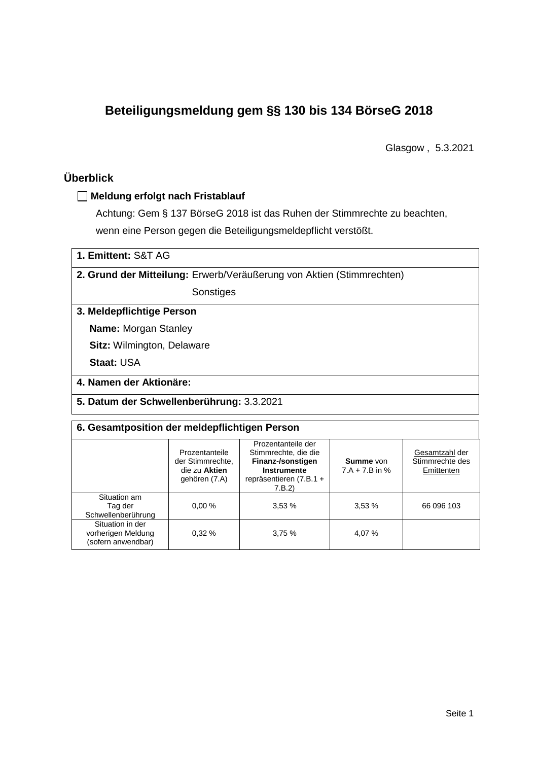# **Beteiligungsmeldung gem §§ 130 bis 134 BörseG 2018**

Glasgow , 5.3.2021

# **Überblick**

### **Meldung erfolgt nach Fristablauf**

Achtung: Gem § 137 BörseG 2018 ist das Ruhen der Stimmrechte zu beachten, wenn eine Person gegen die Beteiligungsmeldepflicht verstößt.

| 1. Emittent: S&T AG |  |
|---------------------|--|
|---------------------|--|

**2. Grund der Mitteilung:** Erwerb/Veräußerung von Aktien (Stimmrechten)

Sonstiges

### **3. Meldepflichtige Person**

**Name:** Morgan Stanley

**Sitz:** Wilmington, Delaware

**Staat:** USA

**4. Namen der Aktionäre:**

**5. Datum der Schwellenberührung:** 3.3.2021

#### **6. Gesamtposition der meldepflichtigen Person**

|                                                              | Prozentanteile<br>der Stimmrechte.<br>die zu Aktien<br>gehören (7.A) | Prozentanteile der<br>Stimmrechte, die die<br>Finanz-/sonstigen<br>Instrumente<br>repräsentieren (7.B.1 +<br>7.B.2) | <b>Summe</b> von<br>$7.A + 7.B$ in % | Gesamtzahl der<br>Stimmrechte des<br>Emittenten |
|--------------------------------------------------------------|----------------------------------------------------------------------|---------------------------------------------------------------------------------------------------------------------|--------------------------------------|-------------------------------------------------|
| Situation am<br>Tag der<br>Schwellenberührung                | 0.00%                                                                | 3,53%                                                                                                               | 3,53%                                | 66 096 103                                      |
| Situation in der<br>vorherigen Meldung<br>(sofern anwendbar) | 0.32%                                                                | 3,75%                                                                                                               | 4,07 %                               |                                                 |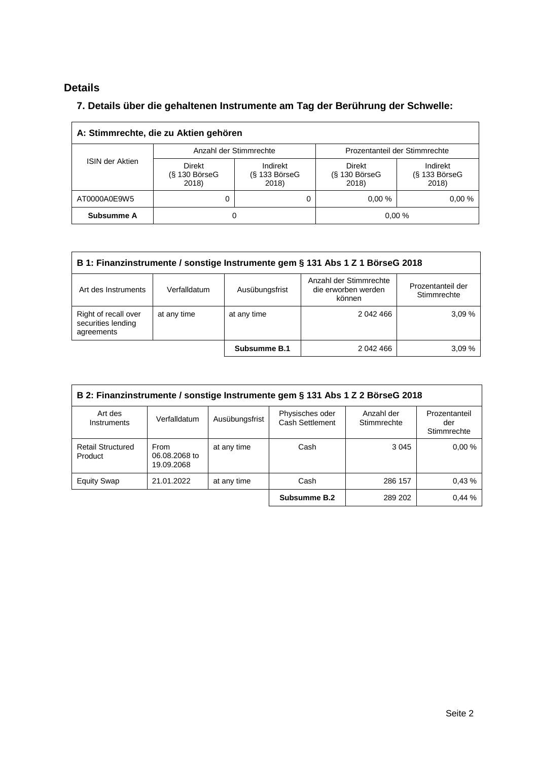# **Details**

 $\overline{\Gamma}$ 

# **7. Details über die gehaltenen Instrumente am Tag der Berührung der Schwelle:**

| A: Stimmrechte, die zu Aktien gehören |                                           |                                      |                                           |                                         |  |  |
|---------------------------------------|-------------------------------------------|--------------------------------------|-------------------------------------------|-----------------------------------------|--|--|
| <b>ISIN der Aktien</b>                |                                           | Anzahl der Stimmrechte               | Prozentanteil der Stimmrechte             |                                         |  |  |
|                                       | <b>Direkt</b><br>$(S$ 130 BörseG<br>2018) | Indirekt<br>$(S$ 133 BörseG<br>2018) | <b>Direkt</b><br>$(S$ 130 BörseG<br>2018) | Indirekt<br>$(S$ 133 Börse $G$<br>2018) |  |  |
| AT0000A0E9W5                          | U                                         |                                      | 0.00%                                     | 0.00%                                   |  |  |
| Subsumme A                            | O                                         |                                      |                                           | 0.00%                                   |  |  |

| B 1: Finanzinstrumente / sonstige Instrumente gem § 131 Abs 1 Z 1 BörseG 2018                                                                        |             |              |           |       |  |
|------------------------------------------------------------------------------------------------------------------------------------------------------|-------------|--------------|-----------|-------|--|
| Anzahl der Stimmrechte<br>Prozentanteil der<br>die erworben werden<br>Ausübungsfrist<br>Verfalldatum<br>Art des Instruments<br>Stimmrechte<br>können |             |              |           |       |  |
| Right of recall over<br>securities lending<br>agreements                                                                                             | at any time | at any time  | 2 042 466 | 3.09% |  |
|                                                                                                                                                      |             | Subsumme B.1 | 2 042 466 | 3.09% |  |

| B 2: Finanzinstrumente / sonstige Instrumente gem § 131 Abs 1 Z 2 BörseG 2018 |                                     |                |                                    |                           |                                     |
|-------------------------------------------------------------------------------|-------------------------------------|----------------|------------------------------------|---------------------------|-------------------------------------|
| Art des<br>Instruments                                                        | Verfalldatum                        | Ausübungsfrist | Physisches oder<br>Cash Settlement | Anzahl der<br>Stimmrechte | Prozentanteil<br>der<br>Stimmrechte |
| <b>Retail Structured</b><br>Product                                           | From<br>06.08.2068 to<br>19.09.2068 | at any time    | Cash                               | 3 0 4 5                   | 0.00%                               |
| <b>Equity Swap</b>                                                            | 21.01.2022                          | at any time    | Cash                               | 286 157                   | 0.43%                               |
|                                                                               |                                     |                | Subsumme B.2                       | 289 202                   | 0.44%                               |

 $\overline{\phantom{a}}$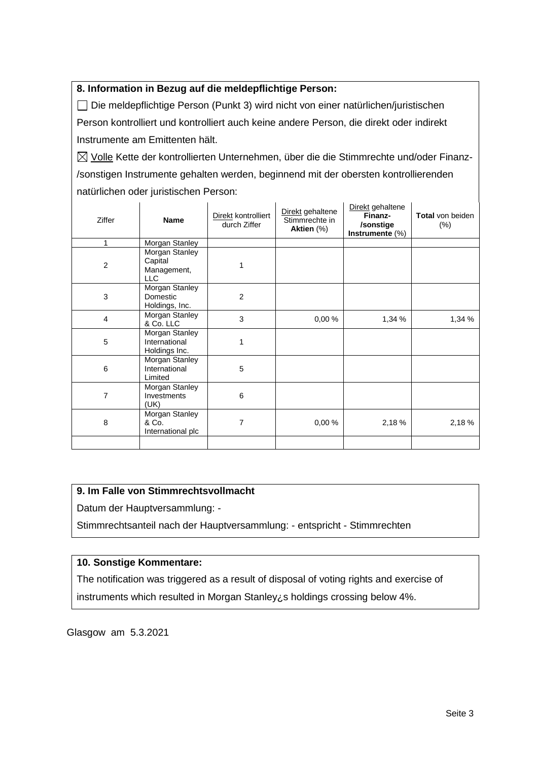## **8. Information in Bezug auf die meldepflichtige Person:**

Die meldepflichtige Person (Punkt 3) wird nicht von einer natürlichen/juristischen Person kontrolliert und kontrolliert auch keine andere Person, die direkt oder indirekt Instrumente am Emittenten hält.

 $\boxtimes$  Volle Kette der kontrollierten Unternehmen, über die die Stimmrechte und/oder Finanz-/sonstigen Instrumente gehalten werden, beginnend mit der obersten kontrollierenden natürlichen oder juristischen Person:

| Ziffer         | <b>Name</b>                                      | Direkt kontrolliert<br>durch Ziffer | Direkt gehaltene<br>Stimmrechte in<br>Aktien (%) | Direkt gehaltene<br>Finanz-<br>/sonstige<br>Instrumente $(\%)$ | <b>Total von beiden</b><br>$(\% )$ |
|----------------|--------------------------------------------------|-------------------------------------|--------------------------------------------------|----------------------------------------------------------------|------------------------------------|
| 1              | Morgan Stanley                                   |                                     |                                                  |                                                                |                                    |
| $\overline{2}$ | Morgan Stanley<br>Capital<br>Management,<br>LLC  |                                     |                                                  |                                                                |                                    |
| 3              | Morgan Stanley<br>Domestic<br>Holdings, Inc.     | 2                                   |                                                  |                                                                |                                    |
| 4              | Morgan Stanley<br>& Co. LLC                      | 3                                   | 0,00%                                            | 1,34 %                                                         | 1,34 %                             |
| 5              | Morgan Stanley<br>International<br>Holdings Inc. | 1                                   |                                                  |                                                                |                                    |
| 6              | Morgan Stanley<br>International<br>Limited       | 5                                   |                                                  |                                                                |                                    |
| 7              | Morgan Stanley<br>Investments<br>(UK)            | 6                                   |                                                  |                                                                |                                    |
| 8              | Morgan Stanley<br>& Co.<br>International plc     | 7                                   | 0,00%                                            | 2,18 %                                                         | 2,18 %                             |
|                |                                                  |                                     |                                                  |                                                                |                                    |

# **9. Im Falle von Stimmrechtsvollmacht**

Datum der Hauptversammlung: -

Stimmrechtsanteil nach der Hauptversammlung: - entspricht - Stimmrechten

# **10. Sonstige Kommentare:**

The notification was triggered as a result of disposal of voting rights and exercise of instruments which resulted in Morgan Stanley¿s holdings crossing below 4%.

Glasgow am 5.3.2021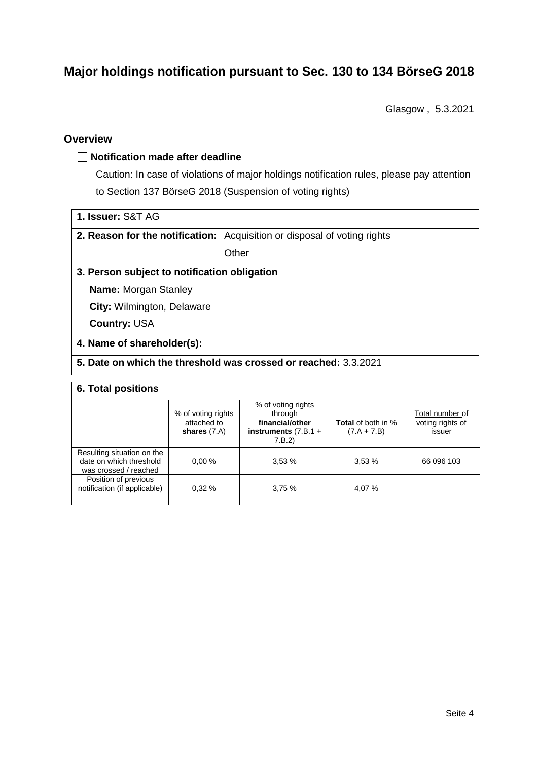# **Major holdings notification pursuant to Sec. 130 to 134 BörseG 2018**

Glasgow , 5.3.2021

## **Overview**

#### **Notification made after deadline**

Caution: In case of violations of major holdings notification rules, please pay attention to Section 137 BörseG 2018 (Suspension of voting rights)

| 1. Issuer: S&T AG |  |
|-------------------|--|
|-------------------|--|

**2. Reason for the notification:** Acquisition or disposal of voting rights

**Other** 

# **3. Person subject to notification obligation**

**Name:** Morgan Stanley

**City:** Wilmington, Delaware

**Country:** USA

#### **4. Name of shareholder(s):**

# **5. Date on which the threshold was crossed or reached:** 3.3.2021

#### **6. Total positions**

|                                                                                | % of voting rights<br>attached to<br>shares $(7.A)$ | % of voting rights<br>through<br>financial/other<br>instruments $(7.B.1 +$<br>7.B.2 | <b>Total</b> of both in %<br>$(7.A + 7.B)$ | Total number of<br>voting rights of<br>issuer |
|--------------------------------------------------------------------------------|-----------------------------------------------------|-------------------------------------------------------------------------------------|--------------------------------------------|-----------------------------------------------|
| Resulting situation on the<br>date on which threshold<br>was crossed / reached | 0.00%                                               | 3.53%                                                                               | 3,53%                                      | 66 096 103                                    |
| Position of previous<br>notification (if applicable)                           | 0.32%                                               | 3.75%                                                                               | 4,07 %                                     |                                               |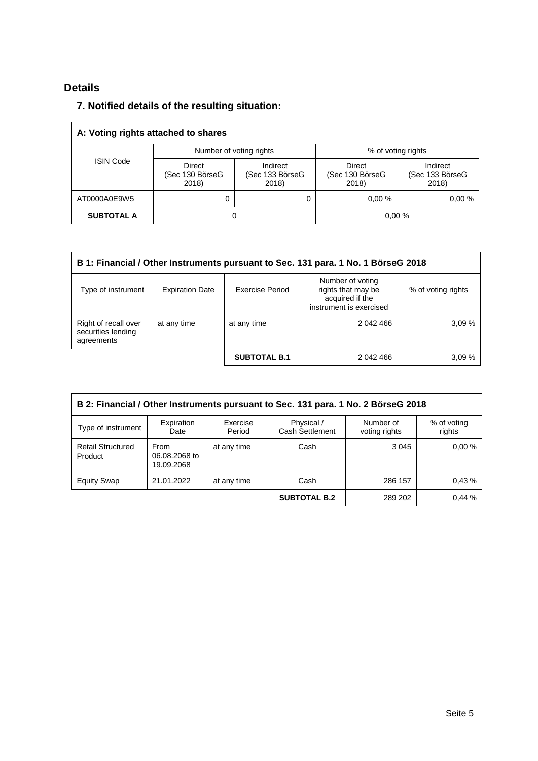# **Details**

# **7. Notified details of the resulting situation:**

| A: Voting rights attached to shares |                                           |                                      |                                    |                                      |  |
|-------------------------------------|-------------------------------------------|--------------------------------------|------------------------------------|--------------------------------------|--|
|                                     | Number of voting rights                   |                                      | % of voting rights                 |                                      |  |
| <b>ISIN Code</b>                    | <b>Direct</b><br>(Sec 130 BörseG<br>2018) | Indirect<br>(Sec 133 BörseG<br>2018) | Direct<br>(Sec 130 BörseG<br>2018) | Indirect<br>(Sec 133 BörseG<br>2018) |  |
| AT0000A0E9W5                        | 0                                         | 0                                    | 0.00%                              | 0.00%                                |  |
| <b>SUBTOTAL A</b>                   | 0                                         |                                      |                                    | 0.00%                                |  |

| B 1: Financial / Other Instruments pursuant to Sec. 131 para. 1 No. 1 BörseG 2018 |                                                                                                                                                         |                     |           |       |  |  |
|-----------------------------------------------------------------------------------|---------------------------------------------------------------------------------------------------------------------------------------------------------|---------------------|-----------|-------|--|--|
| Type of instrument                                                                | Number of voting<br>rights that may be<br>Exercise Period<br><b>Expiration Date</b><br>% of voting rights<br>acquired if the<br>instrument is exercised |                     |           |       |  |  |
| Right of recall over<br>securities lending<br>agreements                          | at any time                                                                                                                                             | at any time         | 2 042 466 | 3.09% |  |  |
|                                                                                   |                                                                                                                                                         | <b>SUBTOTAL B.1</b> | 2 042 466 | 3.09% |  |  |

| B 2: Financial / Other Instruments pursuant to Sec. 131 para. 1 No. 2 BörseG 2018 |                                            |                    |                               |                            |                       |
|-----------------------------------------------------------------------------------|--------------------------------------------|--------------------|-------------------------------|----------------------------|-----------------------|
| Type of instrument                                                                | Expiration<br>Date                         | Exercise<br>Period | Physical /<br>Cash Settlement | Number of<br>voting rights | % of voting<br>rights |
| <b>Retail Structured</b><br>Product                                               | <b>From</b><br>06.08.2068 to<br>19.09.2068 | at any time        | Cash                          | 3 0 4 5                    | 0.00%                 |
| <b>Equity Swap</b>                                                                | 21.01.2022                                 | at any time        | Cash                          | 286 157                    | 0.43%                 |
|                                                                                   |                                            |                    | <b>SUBTOTAL B.2</b>           | 289 202                    | 0.44%                 |